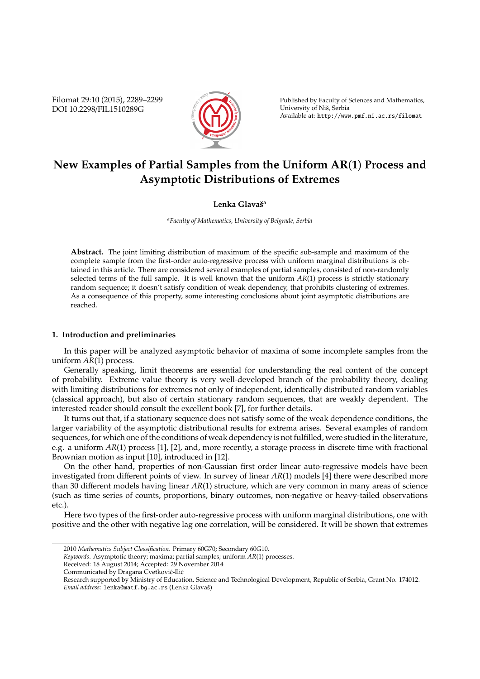Filomat 29:10 (2015), 2289–2299 DOI 10.2298/FIL1510289G



Published by Faculty of Sciences and Mathematics, University of Niš, Serbia Available at: http://www.pmf.ni.ac.rs/filomat

# **New Examples of Partial Samples from the Uniform AR**(**1**) **Process and Asymptotic Distributions of Extremes**

## **Lenka Glavaˇs<sup>a</sup>**

*<sup>a</sup>Faculty of Mathematics, University of Belgrade, Serbia*

**Abstract.** The joint limiting distribution of maximum of the specific sub-sample and maximum of the complete sample from the first-order auto-regressive process with uniform marginal distributions is obtained in this article. There are considered several examples of partial samples, consisted of non-randomly selected terms of the full sample. It is well known that the uniform *AR*(1) process is strictly stationary random sequence; it doesn't satisfy condition of weak dependency, that prohibits clustering of extremes. As a consequence of this property, some interesting conclusions about joint asymptotic distributions are reached.

### **1. Introduction and preliminaries**

In this paper will be analyzed asymptotic behavior of maxima of some incomplete samples from the uniform *AR*(1) process.

Generally speaking, limit theorems are essential for understanding the real content of the concept of probability. Extreme value theory is very well-developed branch of the probability theory, dealing with limiting distributions for extremes not only of independent, identically distributed random variables (classical approach), but also of certain stationary random sequences, that are weakly dependent. The interested reader should consult the excellent book [7], for further details.

It turns out that, if a stationary sequence does not satisfy some of the weak dependence conditions, the larger variability of the asymptotic distributional results for extrema arises. Several examples of random sequences, for which one of the conditions of weak dependency is not fulfilled, were studied in the literature, e.g. a uniform *AR*(1) process [1], [2], and, more recently, a storage process in discrete time with fractional Brownian motion as input [10], introduced in [12].

On the other hand, properties of non-Gaussian first order linear auto-regressive models have been investigated from different points of view. In survey of linear *AR*(1) models [4] there were described more than 30 different models having linear *AR*(1) structure, which are very common in many areas of science (such as time series of counts, proportions, binary outcomes, non-negative or heavy-tailed observations etc.).

Here two types of the first-order auto-regressive process with uniform marginal distributions, one with positive and the other with negative lag one correlation, will be considered. It will be shown that extremes

Received: 18 August 2014; Accepted: 29 November 2014

<sup>2010</sup> *Mathematics Subject Classification*. Primary 60G70; Secondary 60G10.

*Keywords*. Asymptotic theory; maxima; partial samples; uniform *AR*(1) processes.

Communicated by Dragana Cvetković-Ilić

Research supported by Ministry of Education, Science and Technological Development, Republic of Serbia, Grant No. 174012. Email address: lenka@matf.bg.ac.rs (Lenka Glavaš)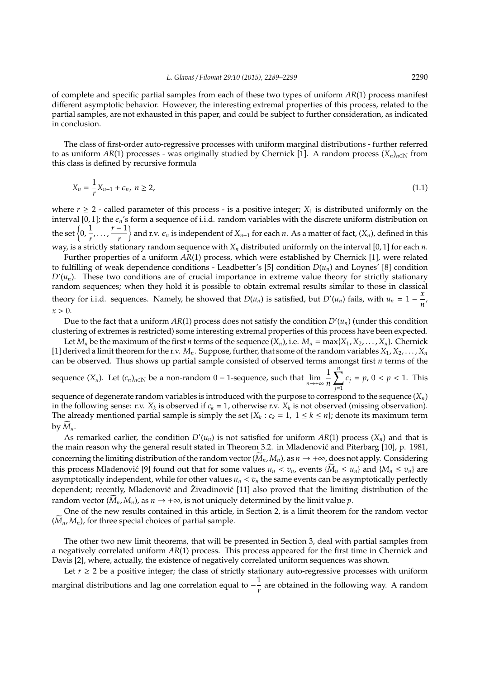of complete and specific partial samples from each of these two types of uniform *AR*(1) process manifest different asymptotic behavior. However, the interesting extremal properties of this process, related to the partial samples, are not exhausted in this paper, and could be subject to further consideration, as indicated in conclusion.

The class of first-order auto-regressive processes with uniform marginal distributions - further referred to as uniform  $AR(1)$  processes - was originally studied by Chernick [1]. A random process  $(X_n)_{n\in\mathbb{N}}$  from this class is defined by recursive formula

$$
X_n = \frac{1}{r} X_{n-1} + \epsilon_n, \ n \ge 2,
$$
\n(1.1)

where  $r \geq 2$  - called parameter of this process - is a positive integer;  $X_1$  is distributed uniformly on the interval [0, 1]; the  $\epsilon_n$ 's form a sequence of i.i.d. random variables with the discrete uniform distribution on the set  $\left\{0, \frac{1}{2}\right\}$  $\frac{1}{r}, \ldots, \frac{r-1}{r}$ *r*  $\}$  and r.v.  $\epsilon_n$  is independent of  $X_{n-1}$  for each  $n$ . As a matter of fact,  $(X_n)$ , defined in this way, is a strictly stationary random sequence with *X<sup>n</sup>* distributed uniformly on the interval [0, 1] for each *n*.

Further properties of a uniform *AR*(1) process, which were established by Chernick [1], were related to fulfilling of weak dependence conditions - Leadbetter's [5] condition  $D(u_n)$  and Loynes' [8] condition  $D'(u_n)$ . These two conditions are of crucial importance in extreme value theory for strictly stationary random sequences; when they hold it is possible to obtain extremal results similar to those in classical theory for i.i.d. sequences. Namely, he showed that  $D(u_n)$  is satisfied, but  $D'(u_n)$  fails, with  $u_n = 1 - \frac{x}{a}$  $\frac{n}{n}$  $x > 0$ .

Due to the fact that a uniform  $AR(1)$  process does not satisfy the condition  $D'(u_n)$  (under this condition clustering of extremes is restricted) some interesting extremal properties of this process have been expected.

Let  $M_n$  be the maximum of the first *n* terms of the sequence  $(X_n)$ , i.e.  $M_n = \max\{X_1, X_2, \ldots, X_n\}$ . Chernick [1] derived a limit theorem for the r.v.  $M_n$ . Suppose, further, that some of the random variables  $X_1, X_2, \ldots, X_n$ can be observed. Thus shows up partial sample consisted of observed terms amongst first *n* terms of the

sequence  $(X_n)$ . Let  $(c_n)_{n\in\mathbb{N}}$  be a non-random 0 – 1-sequence, such that  $\lim_{n\to+\infty}\frac{1}{n}$ *n*  $\sum_{ }^{n}$ *j*=1  $c_j = p$ ,  $0 < p < 1$ . This

sequence of degenerate random variables is introduced with the purpose to correspond to the sequence  $(X_n)$ in the following sense: r.v.  $X_k$  is observed if  $c_k = 1$ , otherwise r.v.  $X_k$  is not observed (missing observation). The already mentioned partial sample is simply the set { $X_k$  :  $c_k = 1$ ,  $1 \le k \le n$ }; denote its maximum term by  $M_n$ .

As remarked earlier, the condition  $D'(u_n)$  is not satisfied for uniform  $AR(1)$  process  $(X_n)$  and that is the main reason why the general result stated in Theorem 3.2. in Mladenovic and Piterbarg [10], p. 1981, ´ concerning the limiting distribution of the random vector  $(M_n, M_n)$ , as  $n \to +\infty$ , does not apply. Considering this process Mladenović [9] found out that for some values  $u_n < v_n$ , events  $\{M_n \le u_n\}$  and  $\{M_n \le v_n\}$  are asymptotically independent, while for other values  $u_n < v_n$  the same events can be asymptotically perfectly dependent; recently, Mladenović and Živadinović [11] also proved that the limiting distribution of the random vector  $(M_n, M_n)$ , as  $n \to +\infty$ , is not uniquely determined by the limit value *p*.

One of the new results contained in this article, in Section 2, is a limit theorem for the random vector  $(M_n, M_n)$ , for three special choices of partial sample.

The other two new limit theorems, that will be presented in Section 3, deal with partial samples from a negatively correlated uniform *AR*(1) process. This process appeared for the first time in Chernick and Davis [2], where, actually, the existence of negatively correlated uniform sequences was shown.

Let  $r \geq 2$  be a positive integer; the class of strictly stationary auto-regressive processes with uniform marginal distributions and lag one correlation equal to  $-\frac{1}{x}$ *r* are obtained in the following way. A random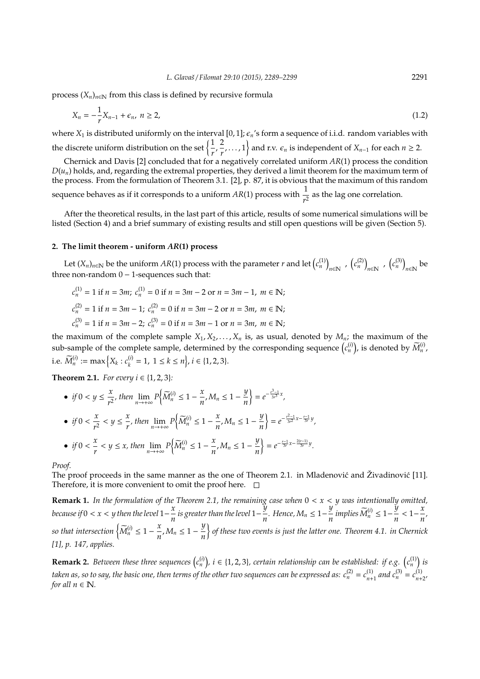process  $(X_n)_{n \in \mathbb{N}}$  from this class is defined by recursive formula

$$
X_n = -\frac{1}{r} X_{n-1} + \epsilon_n, \quad n \ge 2,\tag{1.2}
$$

where  $X_1$  is distributed uniformly on the interval [0, 1];  $\epsilon_n$ 's form a sequence of i.i.d. random variables with the discrete uniform distribution on the set  $\left\{\frac{1}{n}\right\}$  $\frac{1}{r}$ ,  $\frac{2}{r}$  $\left\{\frac{2}{r}, \ldots, 1\right\}$  and r.v.  $\epsilon_n$  is independent of  $X_{n-1}$  for each  $n \geq 2$ .

Chernick and Davis [2] concluded that for a negatively correlated uniform *AR*(1) process the condition  $D(u_n)$  holds, and, regarding the extremal properties, they derived a limit theorem for the maximum term of the process. From the formulation of Theorem 3.1. [2], p. 87, it is obvious that the maximum of this random sequence behaves as if it corresponds to a uniform  $AR(1)$  process with  $\frac{1}{r^2}$  as the lag one correlation.

After the theoretical results, in the last part of this article, results of some numerical simulations will be listed (Section 4) and a brief summary of existing results and still open questions will be given (Section 5).

#### **2. The limit theorem - uniform** *AR***(1) process**

Let  $(X_n)_{n\in\mathbb{N}}$  be the uniform  $AR(1)$  process with the parameter *r* and let  $\binom{c^{(1)}}{n}$  $\left(c_n^{(2)}\right)$ ,  $\left(c_n^{(2)}\right)$  $_{n\in\mathbb{N}}$  ,  $(c_n^{(3)})$ *n*∈N be three non-random  $0 - 1$ -sequences such that:

$$
c_n^{(1)} = 1 \text{ if } n = 3m; \ c_n^{(1)} = 0 \text{ if } n = 3m - 2 \text{ or } n = 3m - 1, \ m \in \mathbb{N};
$$
  
\n
$$
c_n^{(2)} = 1 \text{ if } n = 3m - 1; \ c_n^{(2)} = 0 \text{ if } n = 3m - 2 \text{ or } n = 3m, \ m \in \mathbb{N};
$$
  
\n
$$
c_n^{(3)} = 1 \text{ if } n = 3m - 2; \ c_n^{(3)} = 0 \text{ if } n = 3m - 1 \text{ or } n = 3m, \ m \in \mathbb{N};
$$

the maximum of the complete sample  $X_1, X_2, \ldots, X_n$  is, as usual, denoted by  $M_n$ ; the maximum of the sub-sample of the complete sample, determined by the corresponding sequence  $(c_n^{(i)})$ , is denoted by  $\widetilde{M}_n^{(i)}$ , i.e.  $\widetilde{M}_n^{(i)} := \max\left\{X_k : c_k^{(i)}\right\}$  ${k_i}$  = 1, 1  $\leq$   $k \leq n_j$ ,  $i \in \{1, 2, 3\}.$ 

**Theorem 2.1.** *For every i*  $\in \{1, 2, 3\}$ *:* 

\n- \n
$$
\text{if } 0 < y \leq \frac{x}{r^2}, \text{ then } \lim_{n \to +\infty} P\left\{\widetilde{M}_n^{(i)} \leq 1 - \frac{x}{n}, M_n \leq 1 - \frac{y}{n}\right\} = e^{-\frac{x^3 - 1}{3r^3}x},
$$
\n
\n- \n
$$
\text{if } 0 < \frac{x}{r^2} < y \leq \frac{x}{r}, \text{ then } \lim_{n \to +\infty} P\left\{\widetilde{M}_n^{(i)} \leq 1 - \frac{x}{n}, M_n \leq 1 - \frac{y}{n}\right\} = e^{-\frac{r^2 - 1}{3r^2}x - \frac{r - 1}{3r}y},
$$
\n
\n- \n
$$
\text{if } 0 < \frac{x}{r} < y \leq x, \text{ then } \lim_{n \to +\infty} P\left\{\widetilde{M}_n^{(i)} \leq 1 - \frac{x}{n}, M_n \leq 1 - \frac{y}{n}\right\} = e^{-\frac{r - 1}{3r}x - \frac{2(r - 1)}{3r}y}.
$$
\n
\n

*Proof.*

The proof proceeds in the same manner as the one of Theorem 2.1. in Mladenovic and Živadinovic [11]. Therefore, it is more convenient to omit the proof here.  $\Box$ 

**Remark 1.** *In the formulation of the Theorem 2.1, the remaining case when* 0 < *x* < *y was intentionally omitted, because if*  $0 < x < y$  then the level  $1-\frac{x}{y}$ *x*<sub>*n*</sub> is greater than the level 1 –  $\frac{y}{n}$  $\frac{y}{n}$ *.* Hence, M<sub>n</sub> ≤ 1 −  $\frac{y}{n}$  $\frac{y}{n}$  implies  $\widetilde{M}_n^{(i)} \leq 1 - \frac{y}{n}$  $\frac{y}{n}$  < 1<sup>-</sup> $\frac{x}{n}$  $\frac{n}{n}$ *so that intersection*  $\left\{\widetilde{M}_n^{(i)} \leq 1 - \frac{x}{n}\right\}$  $\frac{x}{n}$ *,*  $M_n \leq 1 - \frac{y}{n}$ *n of these two events is just the latter one. Theorem 4.1. in Chernick [1], p. 147, applies.*

**Remark 2.** Between these three sequences  $(c_n^{(i)})$ ,  $i \in \{1, 2, 3\}$ , certain relationship can be established: if e.g.  $(c_n^{(1)})$  is taken as, so to say, the basic one, then terms of the other two sequences can be expressed as:  $c_n^{(2)} = c_{n+1}^{(1)}$  $n+1$  and  $c_n^{(3)} = c_{n+1}^{(1)}$ *n*+2 *, for all*  $n \in \mathbb{N}$ *.*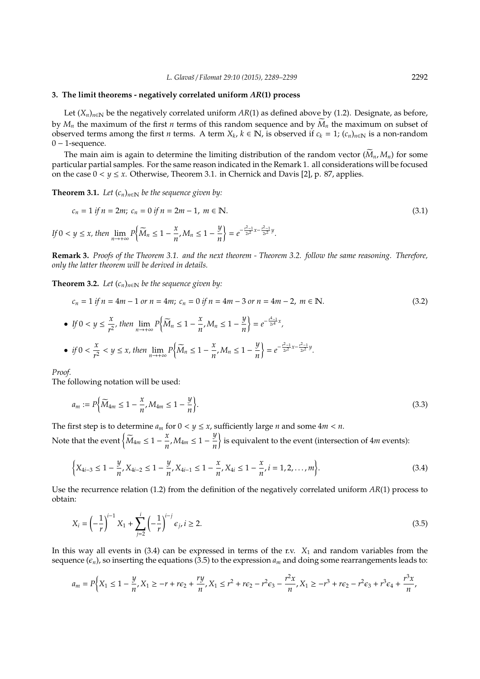#### **3. The limit theorems - negatively correlated uniform** *AR***(1) process**

Let  $(X_n)_{n\in\mathbb{N}}$  be the negatively correlated uniform  $AR(1)$  as defined above by (1.2). Designate, as before, by  $M_n$  the maximum of the first *n* terms of this random sequence and by  $M_n$  the maximum on subset of observed terms among the first *n* terms. A term  $X_k$ ,  $k \in \mathbb{N}$ , is observed if  $c_k = 1$ ;  $(c_n)_{n \in \mathbb{N}}$  is a non-random  $0 - 1$ -sequence.

The main aim is again to determine the limiting distribution of the random vector  $(M_n, M_n)$  for some particular partial samples. For the same reason indicated in the Remark 1. all considerations will be focused on the case  $0 < y \leq x$ . Otherwise, Theorem 3.1. in Chernick and Davis [2], p. 87, applies.

**Theorem 3.1.** *Let*  $(c_n)_{n \in \mathbb{N}}$  *be the sequence given by:* 

$$
c_n = 1 \text{ if } n = 2m; \ c_n = 0 \text{ if } n = 2m - 1, \ m \in \mathbb{N}.
$$
  
If  $0 < y \le x$ , then  $\lim_{n \to +\infty} P\left\{\widetilde{M}_n \le 1 - \frac{x}{n}, M_n \le 1 - \frac{y}{n}\right\} = e^{-\frac{y^2 - 1}{2r^2}x - \frac{y^2 - 1}{2r^2}y}.$  (3.1)

**Remark 3.** *Proofs of the Theorem 3.1. and the next theorem - Theorem 3.2. follow the same reasoning. Therefore, only the latter theorem will be derived in details.*

**Theorem 3.2.** *Let*  $(c_n)_{n \in \mathbb{N}}$  *be the sequence given by:* 

$$
c_n = 1 \text{ if } n = 4m - 1 \text{ or } n = 4m; \ c_n = 0 \text{ if } n = 4m - 3 \text{ or } n = 4m - 2, \ m \in \mathbb{N}.
$$
  
\n• If  $0 < y \le \frac{x}{r^2}$ , then  $\lim_{n \to +\infty} P\left\{\widetilde{M}_n \le 1 - \frac{x}{n}, M_n \le 1 - \frac{y}{n}\right\} = e^{-\frac{r^4 - 1}{2r^4}x}$ ,  
\n• if  $0 < \frac{x}{r^2} < y \le x$ , then  $\lim_{n \to +\infty} P\left\{\widetilde{M}_n \le 1 - \frac{x}{n}, M_n \le 1 - \frac{y}{n}\right\} = e^{-\frac{r^2 - 1}{2r^2}x - \frac{r^2 - 1}{2r^2}y}$ . (3.2)

*n*

*Proof.*

The following notation will be used:

$$
a_m := P\left\{\widetilde{M}_{4m} \le 1 - \frac{x}{n}, M_{4m} \le 1 - \frac{y}{n}\right\}.
$$
\n
$$
(3.3)
$$

The first step is to determine  $a_m$  for  $0 < y \le x$ , sufficiently large *n* and some  $4m < n$ .

Note that the event  $\left\{\widetilde{M}_{4m} \leq 1 - \frac{x}{n}\right\}$  $\frac{x}{n}$ *,*  $M_{4m} \leq 1 - \frac{y}{n}$ *n* is equivalent to the event (intersection of 4*m* events):

$$
\left\{X_{4i-3}\leq 1-\frac{y}{n}, X_{4i-2}\leq 1-\frac{y}{n}, X_{4i-1}\leq 1-\frac{x}{n}, X_{4i}\leq 1-\frac{x}{n}, i=1,2,\ldots,m\right\}.
$$
\n(3.4)

Use the recurrence relation (1.2) from the definition of the negatively correlated uniform *AR*(1) process to obtain:

$$
X_i = \left(-\frac{1}{r}\right)^{i-1} X_1 + \sum_{j=2}^i \left(-\frac{1}{r}\right)^{i-j} \epsilon_j, i \ge 2. \tag{3.5}
$$

In this way all events in  $(3.4)$  can be expressed in terms of the r.v.  $X_1$  and random variables from the sequence  $(\epsilon_n)$ , so inserting the equations (3.5) to the expression  $a_m$  and doing some rearrangements leads to:

$$
a_m = P\Big\{X_1 \leq 1 - \frac{y}{n}, X_1 \geq -r + r\epsilon_2 + \frac{ry}{n}, X_1 \leq r^2 + r\epsilon_2 - r^2\epsilon_3 - \frac{r^2x}{n}, X_1 \geq -r^3 + r\epsilon_2 - r^2\epsilon_3 + r^3\epsilon_4 + \frac{r^3x}{n}, X_1 \geq -r^2 + r^2\epsilon_4 - r^2\epsilon_5 - \frac{r^2x}{n}, X_1 \geq -r^2 + r^2\epsilon_5 - \frac{r^2x}{n}, X_1 \geq -r^2 + r^2\epsilon_6 - \frac{r^2x}{n}, X_1 \geq -r^2 + r\epsilon_7 - \frac{r^2x}{n}, X_1 \geq -r^2 + r\epsilon_8 - \frac{r^2x}{n}, X_1 \geq -r^2 + r\epsilon_9 - \frac{r^2x}{n}, X_1 \geq -r^2 + r\epsilon_9 - \frac{r^2x}{n}, X_1 \geq -r^2 + r\epsilon_9 - \frac{r^2x}{n}, X_1 \geq -r^2 + r\epsilon_9 - \frac{r^2x}{n}, X_1 \geq -r^2 + r\epsilon_9 - \frac{r^2x}{n}, X_1 \geq -r^2 + r\epsilon_9 - \frac{r^2x}{n}, X_1 \geq -r^2 + r\epsilon_9 - \frac{r^2x}{n}, X_1 \geq -r^2 + r\epsilon_9 - \frac{r^2x}{n}, X_1 \geq -r^2 + r\epsilon_9 - \frac{r^2x}{n}, X_1 \geq -r^2 + r\epsilon_9 - \frac{r^2x}{n}, X_1 \geq -r^2 + r\epsilon_9 - \frac{r^2x}{n}, X_1 \geq -r^2 + r\epsilon_9 - \frac{r^2x}{n}, X_1 \geq -r^2 + r\epsilon_9 - \frac{r^2x}{n}, X_1 \geq -r^2 + r\epsilon_9 - \frac{r^2x}{n}, X_1 \geq -r^2 + r\epsilon_9 - \frac{r^2x}{n}, X_1 \geq -r^2 + r\epsilon_9 - \frac{r^2x}{n}, X_1 \geq -r^2 + r\epsilon_9 - \frac{r^2x}{n}, X_1 \geq -r^2 + r\epsilon_9 - \frac{r^2x}{n}, X
$$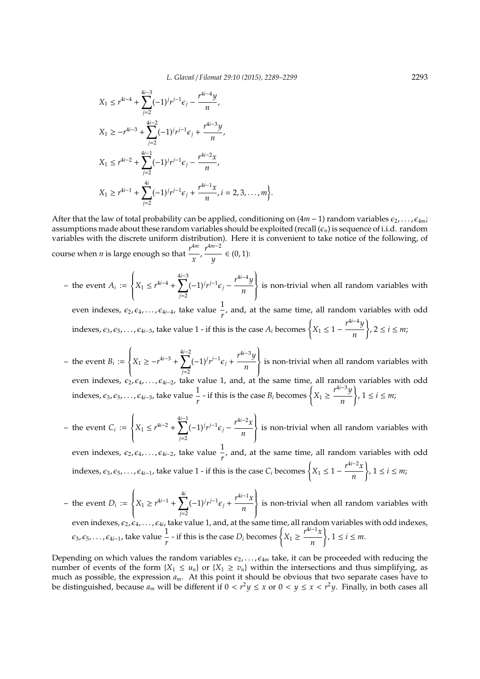$$
X_1 \le r^{4i-4} + \sum_{j=2}^{4i-3} (-1)^j r^{j-1} \epsilon_j - \frac{r^{4i-4} y}{n},
$$
  
\n
$$
X_1 \ge -r^{4i-3} + \sum_{j=2}^{4i-2} (-1)^j r^{j-1} \epsilon_j + \frac{r^{4i-3} y}{n},
$$
  
\n
$$
X_1 \le r^{4i-2} + \sum_{j=2}^{4i-1} (-1)^j r^{j-1} \epsilon_j - \frac{r^{4i-2} x}{n},
$$
  
\n
$$
X_1 \ge r^{4i-1} + \sum_{j=2}^{4i} (-1)^j r^{j-1} \epsilon_j + \frac{r^{4i-1} x}{n}, i = 2, 3, ..., m
$$

After that the law of total probability can be applied, conditioning on (4*m* − 1) random variables  $\epsilon_2$ , . . . ,  $\epsilon_{4m}$ ; assumptions made about these random variables should be exploited (recall  $(\epsilon_n)$  is sequence of i.i.d. random variables with the discrete uniform distribution). Here it is convenient to take notice of the following, of course when *n* is large enough so that  $\frac{r^{4m}}{r}$  $\frac{4m}{x}$ ,  $\frac{r^{4m-2}}{y}$  $\frac{y}{y}$  ∈ (0, 1):

<sup>)</sup>.

– the event  $A_i :=$  $\begin{cases} \frac{1}{2} & \text{if } 0 \leq x \leq 1 \\ \frac{1}{2} & \text{if } 0 \leq x \leq 1 \end{cases}$  $\overline{\mathcal{L}}$  $X_1 \leq r^{4i-4} + \sum_{i=1}^{4i-3}$ *j*=2  $(-1)^j r^{j-1} \epsilon_j - \frac{r^{4i-4}y}{r}$ *n*  $\left\{ \right.$  $\left\{\right\}$  is non-trivial when all random variables with

even indexes,  $\epsilon_2, \epsilon_4, \ldots, \epsilon_{4i-4}$ , take value  $\frac{1}{r}$ , and, at the same time, all random variables with odd indexes,  $\varepsilon_3$ ,  $\varepsilon_5$ , . . . ,  $\varepsilon_{4i-3}$ , take value 1 - if this is the case  $A_i$  becomes  $\begin{cases} X_1 \leq 1 - \frac{r^{4i-4}y}{r} \end{cases}$ *n*  $\Big\}$ , 2  $\leq i \leq m;$ 

- $-$  the event  $B_i :=$  $\left\{\color{white}{\begin{picture}(10,6) \label{picc} \put(0,0){\dashbox{0.5}(10,0){ }}% \thicklines \put(1,0){\dashbox{0.5}(10,0){ }}% \thicklines \put(1,0){\dashbox{0.5}(10,0){ }}% \thicklines \put(1,0){\dashbox{0.5}(10,0){ }}% \thicklines \put(1,0){\dashbox{0.5}(10,0){ }}% \thicklines \put(1,0){\dashbox{0.5}(10,0){ }}% \thicklines \put(1,0){\dashbox{0.5}(10,0){ }}% \thicklines \put(1,0){\dashbox{0.5$  $\overline{\mathcal{L}}$  $X_1 \geq -r^{4i-3} + \sum_{i=1}^{4i-2}$ *j*=2  $(-1)^j r^{j-1} \epsilon_j + \frac{r^{4i-3}y}{r^2}$ *n*  $\Bigg\}$  $\left\{\n \begin{array}{l}\n \text{is non-trivial when all random variables with}\n \end{array}\n\right\}$ even indexes,  $\epsilon_2, \epsilon_4, \ldots, \epsilon_{4i-2}$ , take value 1, and, at the same time, all random variables with odd indexes,  $\varepsilon_3$ ,  $\varepsilon_5$ , . . . ,  $\varepsilon_{4i-3}$ , take value  $\frac{1}{r}$  - if this is the case  $B_i$  becomes  $\left\{X_1 \geq \frac{r^{4i-3}y}{n}\right\}$ *n*  $\}$ ,  $1 \leq i \leq m;$
- the event  $C_i :=$  $\begin{cases} \n\end{cases}$  $\overline{\mathcal{L}}$  $X_1 \leq r^{4i-2} + \sum_{i=1}^{4i-1}$ *j*=2  $(-1)^j r^{j-1} \epsilon_j - \frac{r^{4i-2}x}{r}$ *n*  $\Bigg\}$  $\left\{\right\}$  is non-trivial when all random variables with
	- even indexes,  $\epsilon_2, \epsilon_4, \ldots, \epsilon_{4i-2}$ , take value  $\frac{1}{r}$ , and, at the same time, all random variables with odd indexes,  $\epsilon_3$ ,  $\epsilon_5$ , . . . ,  $\epsilon_{4i-1}$ , take value 1 - if this is the case  $C_i$  becomes  $\begin{cases} X_1 \leq 1 - \frac{r^{4i-2}x}{r} \end{cases}$ *n*  $\Big\}$ ,  $1 \leq i \leq m;$
- $-$  the event  $D_i :=$  $\begin{cases} \frac{1}{2} & \text{if } 0 \leq x \leq 1 \\ \frac{1}{2} & \text{if } 0 \leq x \leq 1 \end{cases}$  $\overline{\mathcal{L}}$  $X_1 \geq r^{4i-1} + \sum_{i=1}^{4i}$ *j*=2  $(-1)^{j}r^{j-1}\epsilon_j + \frac{r^{4i-1}x}{r}$ *n*  $\Bigg\}$  $\left\{\n \begin{array}{c}\n \text{is non-trivial when all random variables with}\n \end{array}\n\right\}$ even indexes,  $\epsilon_2$ ,  $\epsilon_4$ ,  $\dots$  ,  $\epsilon_{4i}$ , take value 1, and, at the same time, all random variables with odd indexes,  $\epsilon_3, \epsilon_5, \ldots, \epsilon_{4i-1}$ , take value  $\frac{1}{r}$  - if this is the case  $D_i$  becomes  $\begin{cases} X_1 \geq \frac{r^{4i-1}x}{n} \end{cases}$ *n*  $\}$ ,  $1 \leq i \leq m$ .

Depending on which values the random variables  $\epsilon_2, \ldots, \epsilon_{4m}$  take, it can be proceeded with reducing the number of events of the form  ${X_1 \leq u_n}$  or  ${X_1 \geq v_n}$  within the intersections and thus simplifying, as much as possible, the expression *am*. At this point it should be obvious that two separate cases have to be distinguished, because  $a_m$  will be different if  $0 < r^2y \le x$  or  $0 < y \le x < r^2y$ . Finally, in both cases all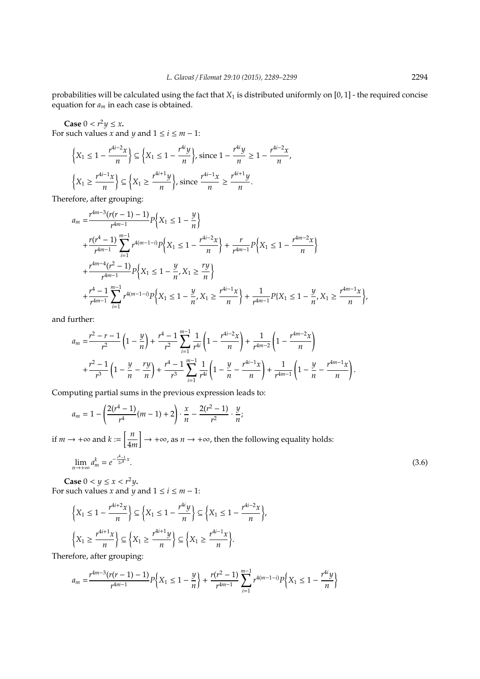probabilities will be calculated using the fact that *X*<sup>1</sup> is distributed uniformly on [0, 1] - the required concise equation for *a<sup>m</sup>* in each case is obtained.

**Case**  $0 < r^2y \leq x$ **.** For such values *x* and *y* and  $1 \le i \le m - 1$ :

$$
\left\{X_1 \le 1 - \frac{r^{4i-2}x}{n}\right\} \subseteq \left\{X_1 \le 1 - \frac{r^{4i}y}{n}\right\}, \text{ since } 1 - \frac{r^{4i}y}{n} \ge 1 - \frac{r^{4i-2}x}{n},
$$

$$
\left\{X_1 \ge \frac{r^{4i-1}x}{n}\right\} \subseteq \left\{X_1 \ge \frac{r^{4i+1}y}{n}\right\}, \text{ since } \frac{r^{4i-1}x}{n} \ge \frac{r^{4i+1}y}{n}.
$$

Therefore, after grouping:

$$
a_m = \frac{r^{4m-3}(r(r-1)-1)}{r^{4m-1}} P\left\{X_1 \le 1 - \frac{y}{n}\right\}
$$
  
+ 
$$
\frac{r(r^4-1)}{r^{4m-1}} \sum_{i=1}^{m-1} r^{4(m-1-i)} P\left\{X_1 \le 1 - \frac{r^{4i-2}x}{n}\right\} + \frac{r}{r^{4m-1}} P\left\{X_1 \le 1 - \frac{r^{4m-2}x}{n}\right\}
$$
  
+ 
$$
\frac{r^{4m-4}(r^2-1)}{r^{4m-1}} P\left\{X_1 \le 1 - \frac{y}{n}, X_1 \ge \frac{ry}{n}\right\}
$$
  
+ 
$$
\frac{r^4-1}{r^{4m-1}} \sum_{i=1}^{m-1} r^{4(m-1-i)} P\left\{X_1 \le 1 - \frac{y}{n}, X_1 \ge \frac{r^{4i-1}x}{n}\right\} + \frac{1}{r^{4m-1}} P\{X_1 \le 1 - \frac{y}{n}, X_1 \ge \frac{r^{4m-1}x}{n}\}.
$$

and further:

$$
a_m = \frac{r^2 - r - 1}{r^2} \left( 1 - \frac{y}{n} \right) + \frac{r^4 - 1}{r^2} \sum_{i=1}^{m-1} \frac{1}{r^{4i}} \left( 1 - \frac{r^{4i-2}x}{n} \right) + \frac{1}{r^{4m-2}} \left( 1 - \frac{r^{4m-2}x}{n} \right)
$$
  
+ 
$$
\frac{r^2 - 1}{r^3} \left( 1 - \frac{y}{n} - \frac{ry}{n} \right) + \frac{r^4 - 1}{r^3} \sum_{i=1}^{m-1} \frac{1}{r^{4i}} \left( 1 - \frac{y}{n} - \frac{r^{4i-1}x}{n} \right) + \frac{1}{r^{4m-1}} \left( 1 - \frac{y}{n} - \frac{r^{4m-1}x}{n} \right).
$$

Computing partial sums in the previous expression leads to:

$$
a_m = 1 - \left(\frac{2(r^4 - 1)}{r^4}(m - 1) + 2\right) \cdot \frac{x}{n} - \frac{2(r^2 - 1)}{r^2} \cdot \frac{y}{n};
$$
  
if  $m \to +\infty$  and  $k := \left[\frac{n}{4m}\right] \to +\infty$ , as  $n \to +\infty$ , then the following equality holds:  

$$
\lim_{n \to +\infty} a_m^k = e^{-\frac{r^4 - 1}{24}x}.
$$
 (3.6)

**Case**  $0 < y \le x < r^2y$ . For such values *x* and *y* and  $1 \le i \le m - 1$ :

$$
\left\{X_1 \le 1 - \frac{r^{4i+2}x}{n}\right\} \subseteq \left\{X_1 \le 1 - \frac{r^{4i}y}{n}\right\} \subseteq \left\{X_1 \le 1 - \frac{r^{4i-2}x}{n}\right\},\
$$

$$
\left\{X_1 \ge \frac{r^{4i+1}x}{n}\right\} \subseteq \left\{X_1 \ge \frac{r^{4i+1}y}{n}\right\} \subseteq \left\{X_1 \ge \frac{r^{4i-1}x}{n}\right\}.
$$

Therefore, after grouping:

$$
a_m = \frac{r^{4m-3}(r(r-1)-1)}{r^{4m-1}}P\left\{X_1 \leq 1 - \frac{y}{n}\right\} + \frac{r(r^2-1)}{r^{4m-1}}\sum_{i=1}^{m-1}r^{4(m-1-i)}P\left\{X_1 \leq 1 - \frac{r^{4i}y}{n}\right\}
$$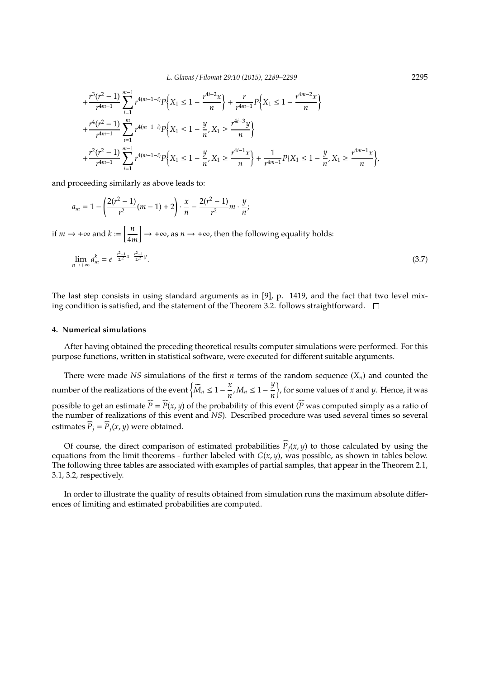*L. Glavaˇs* / *Filomat 29:10 (2015), 2289–2299* 2295

$$
+ \frac{r^3(r^2 - 1)}{r^{4m-1}} \sum_{i=1}^{m-1} r^{4(m-1-i)} P\left\{X_1 \le 1 - \frac{r^{4i-2}x}{n}\right\} + \frac{r}{r^{4m-1}} P\left\{X_1 \le 1 - \frac{r^{4m-2}x}{n}\right\} + \frac{r^4(r^2 - 1)}{r^{4m-1}} \sum_{i=1}^m r^{4(m-1-i)} P\left\{X_1 \le 1 - \frac{y}{n}, X_1 \ge \frac{r^{4i-3}y}{n}\right\} + \frac{r^2(r^2 - 1)}{r^{4m-1}} \sum_{i=1}^{m-1} r^{4(m-1-i)} P\left\{X_1 \le 1 - \frac{y}{n}, X_1 \ge \frac{r^{4i-1}x}{n}\right\} + \frac{1}{r^{4m-1}} P\{X_1 \le 1 - \frac{y}{n}, X_1 \ge \frac{r^{4m-1}x}{n}\right\},
$$

and proceeding similarly as above leads to:

$$
a_m = 1 - \left(\frac{2(r^2 - 1)}{r^2}(m - 1) + 2\right) \cdot \frac{x}{n} - \frac{2(r^2 - 1)}{r^2}m \cdot \frac{y}{n};
$$
  
if  $m \to +\infty$  and  $k := \left[\frac{n}{4m}\right] \to +\infty$ , as  $n \to +\infty$ , then the following equality holds:  

$$
\lim_{n \to +\infty} a_m^k = e^{-\frac{r^2 - 1}{2r^2}x - \frac{r^2 - 1}{2r^2}y}.
$$
 (3.7)

The last step consists in using standard arguments as in [9], p. 1419, and the fact that two level mixing condition is satisfied, and the statement of the Theorem 3.2. follows straightforward.  $\Box$ 

#### **4. Numerical simulations**

After having obtained the preceding theoretical results computer simulations were performed. For this purpose functions, written in statistical software, were executed for different suitable arguments.

There were made *NS* simulations of the first *n* terms of the random sequence  $(X_n)$  and counted the number of the realizations of the event  $\left\{\widetilde{M}_n \leq 1 - \frac{x}{n}\right\}$  $\frac{x}{n}$ *,*  $M_n \leq 1 - \frac{y}{n}$ *n* , for some values of *x* and *y*. Hence, it was possible to get an estimate  $\widehat{P} = \widehat{P}(x, y)$  of the probability of this event ( $\widehat{P}$  was computed simply as a ratio of the number of realizations of this event and *NS*). Described procedure was used several times so several estimates  $\widehat{P}_j = \widehat{P}_j(x, y)$  were obtained.

Of course, the direct comparison of estimated probabilities  $\hat{P}_i(x, y)$  to those calculated by using the equations from the limit theorems - further labeled with  $G(x, y)$ , was possible, as shown in tables below. The following three tables are associated with examples of partial samples, that appear in the Theorem 2.1, 3.1, 3.2, respectively.

In order to illustrate the quality of results obtained from simulation runs the maximum absolute differences of limiting and estimated probabilities are computed.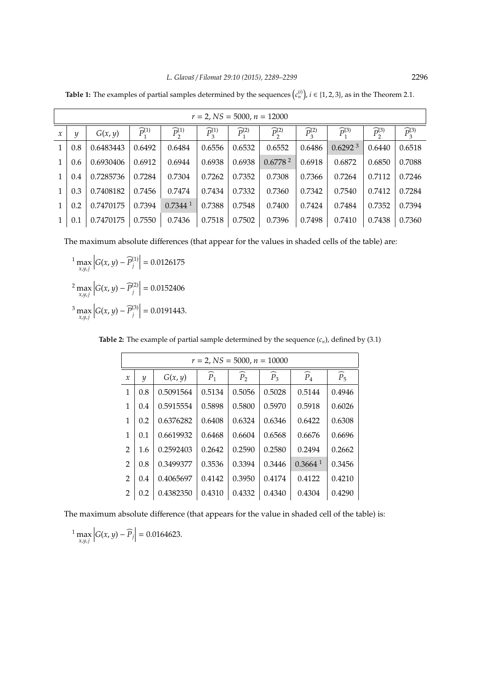| $r = 2$ , NS = 5000, $n = 12000$ |     |           |                       |                         |                         |                       |                         |                         |                         |                         |                       |
|----------------------------------|-----|-----------|-----------------------|-------------------------|-------------------------|-----------------------|-------------------------|-------------------------|-------------------------|-------------------------|-----------------------|
| $\mathcal{X}$                    | y   | G(x, y)   | $\widehat{P}_1^{(1)}$ | $\widehat{P}_{2}^{(1)}$ | $\widehat{P}_{2}^{(1)}$ | $\widehat{P}_1^{(2)}$ | $\widehat{P}_{2}^{(2)}$ | $\widehat{P}_{2}^{(2)}$ | $\widehat{P}_{1}^{(3)}$ | $\widehat{P}_{2}^{(3)}$ | $\widehat{P}_3^{(3)}$ |
| 1                                | 0.8 | 0.6483443 | 0.6492                | 0.6484                  | 0.6556                  | 0.6532                | 0.6552                  | 0.6486                  | 0.6292 <sup>3</sup>     | 0.6440                  | 0.6518                |
| 1                                | 0.6 | 0.6930406 | 0.6912                | 0.6944                  | 0.6938                  | 0.6938                | 0.6778 <sup>2</sup>     | 0.6918                  | 0.6872                  | 0.6850                  | 0.7088                |
| 1                                | 0.4 | 0.7285736 | 0.7284                | 0.7304                  | 0.7262                  | 0.7352                | 0.7308                  | 0.7366                  | 0.7264                  | 0.7112                  | 0.7246                |
| 1                                | 0.3 | 0.7408182 | 0.7456                | 0.7474                  | 0.7434                  | 0.7332                | 0.7360                  | 0.7342                  | 0.7540                  | 0.7412                  | 0.7284                |
|                                  | 0.2 | 0.7470175 | 0.7394                | $0.7344$ <sup>1</sup>   | 0.7388                  | 0.7548                | 0.7400                  | 0.7424                  | 0.7484                  | 0.7352                  | 0.7394                |
|                                  | 0.1 | 0.7470175 | 0.7550                | 0.7436                  | 0.7518                  | 0.7502                | 0.7396                  | 0.7498                  | 0.7410                  | 0.7438                  | 0.7360                |

**Table 1:** The examples of partial samples determined by the sequences  $(c_n^{(i)})$ ,  $i \in \{1, 2, 3\}$ , as in the Theorem 2.1.

The maximum absolute differences (that appear for the values in shaded cells of the table) are:

<sup>1</sup> max *x*,*y*,*j*  $G(x, y) - \widehat{P}_j^{(1)}$ *j*  $= 0.0126175$ <sup>2</sup> max *x*,*y*,*j*  $G(x, y) - \widehat{P}_j^{(2)}$ *j*  $\Big| = 0.0152406$ <sup>3</sup> max *x*,*y*,*j*  $G(x, y) - \widehat{P}_j^{(3)}$ *j*  $\Big| = 0.0191443.$ 

**Table 2:** The example of partial sample determined by the sequence  $(c_n)$ , defined by  $(3.1)$ 

|                | $r = 2$ , NS = 5000, $n = 10000$ |           |                 |                   |                 |                       |                 |  |  |  |
|----------------|----------------------------------|-----------|-----------------|-------------------|-----------------|-----------------------|-----------------|--|--|--|
| $\mathcal X$   | y                                | G(x, y)   | $\widehat{P}_1$ | $\widehat{P}_{2}$ | $\widehat{P}_3$ | $\widehat{P}_4$       | $\widehat{P}_5$ |  |  |  |
| 1              | 0.8                              | 0.5091564 | 0.5134          | 0.5056            | 0.5028          | 0.5144                | 0.4946          |  |  |  |
| 1              | 0.4                              | 0.5915554 | 0.5898          | 0.5800            | 0.5970          | 0.5918                | 0.6026          |  |  |  |
| 1              | 0.2                              | 0.6376282 | 0.6408          | 0.6324            | 0.6346          | 0.6422                | 0.6308          |  |  |  |
| 1              | 0.1                              | 0.6619932 | 0.6468          | 0.6604            | 0.6568          | 0.6676                | 0.6696          |  |  |  |
| $\overline{2}$ | 1.6                              | 0.2592403 | 0.2642          | 0.2590            | 0.2580          | 0.2494                | 0.2662          |  |  |  |
| $\overline{2}$ | 0.8                              | 0.3499377 | 0.3536          | 0.3394            | 0.3446          | $0.3664$ <sup>1</sup> | 0.3456          |  |  |  |
| $\overline{2}$ | 0.4                              | 0.4065697 | 0.4142          | 0.3950            | 0.4174          | 0.4122                | 0.4210          |  |  |  |
| 2              | 0.2                              | 0.4382350 | 0.4310          | 0.4332            | 0.4340          | 0.4304                | 0.4290          |  |  |  |

The maximum absolute difference (that appears for the value in shaded cell of the table) is:

<sup>1</sup> max *x*,*y*,*j*  $|G(x, y) - \widehat{P}_j| = 0.0164623.$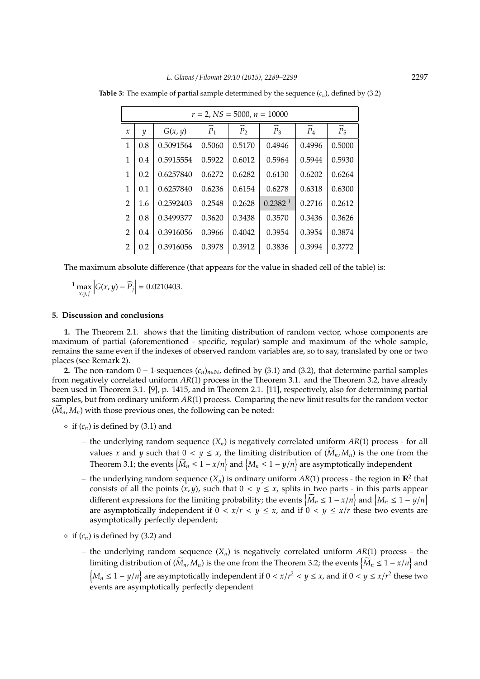|                            | $r = 2$ , NS = 5000, $n = 10000$ |           |                 |                   |                     |                 |                 |  |  |  |
|----------------------------|----------------------------------|-----------|-----------------|-------------------|---------------------|-----------------|-----------------|--|--|--|
| $\boldsymbol{\mathcal{X}}$ | y                                | G(x, y)   | $\widehat{P}_1$ | $\widehat{P}_{2}$ | $\widehat{P}_3$     | $\widehat{P}_4$ | $\widehat{P}_5$ |  |  |  |
| 1                          | 0.8                              | 0.5091564 | 0.5060          | 0.5170            | 0.4946              | 0.4996          | 0.5000          |  |  |  |
| 1                          | 0.4                              | 0.5915554 | 0.5922          | 0.6012            | 0.5964              | 0.5944          | 0.5930          |  |  |  |
| $\mathbf{1}$               | 0.2                              | 0.6257840 | 0.6272          | 0.6282            | 0.6130              | 0.6202          | 0.6264          |  |  |  |
| 1                          | 0.1                              | 0.6257840 | 0.6236          | 0.6154            | 0.6278              | 0.6318          | 0.6300          |  |  |  |
| $\overline{2}$             | 1.6                              | 0.2592403 | 0.2548          | 0.2628            | 0.2382 <sup>1</sup> | 0.2716          | 0.2612          |  |  |  |
| $\overline{2}$             | 0.8                              | 0.3499377 | 0.3620          | 0.3438            | 0.3570              | 0.3436          | 0.3626          |  |  |  |
| $\overline{2}$             | 0.4                              | 0.3916056 | 0.3966          | 0.4042            | 0.3954              | 0.3954          | 0.3874          |  |  |  |
| 2                          | 0.2                              | 0.3916056 | 0.3978          | 0.3912            | 0.3836              | 0.3994          | 0.3772          |  |  |  |

**Table 3:** The example of partial sample determined by the sequence  $(c_n)$ , defined by  $(3.2)$ 

The maximum absolute difference (that appears for the value in shaded cell of the table) is:

<sup>1</sup> max *x*,*y*,*j*  $|G(x, y) - \widehat{P}_j| = 0.0210403.$ 

## **5. Discussion and conclusions**

**1.** The Theorem 2.1. shows that the limiting distribution of random vector, whose components are maximum of partial (aforementioned - specific, regular) sample and maximum of the whole sample, remains the same even if the indexes of observed random variables are, so to say, translated by one or two places (see Remark 2).

**2.** The non-random  $0 - 1$ -sequences  $(c_n)_{n \in \mathbb{N}}$ , defined by (3.1) and (3.2), that determine partial samples from negatively correlated uniform *AR*(1) process in the Theorem 3.1. and the Theorem 3.2, have already been used in Theorem 3.1. [9], p. 1415, and in Theorem 2.1. [11], respectively, also for determining partial samples, but from ordinary uniform *AR*(1) process. Comparing the new limit results for the random vector  $(\widetilde{M}_n, M_n)$  with those previous ones, the following can be noted:

 $\circ$  if  $(c_n)$  is defined by (3.1) and

- the underlying random sequence (*Xn*) is negatively correlated uniform *AR*(1) process for all values *x* and *y* such that  $0 < y \le x$ , the limiting distribution of  $(M_n, M_n)$  is the one from the Theorem 3.1; the events  $\left\{\widetilde{M}_n \leq 1 - x/n\right\}$  and  $\left\{M_n \leq 1 - y/n\right\}$  are asymptotically independent
- the underlying random sequence  $(X_n)$  is ordinary uniform  $AR(1)$  process the region in  $\mathbb{R}^2$  that consists of all the points  $(x, y)$ , such that  $0 < y \le x$ , splits in two parts - in this parts appear different expressions for the limiting probability; the events  $\left\{\widetilde{M}_n \leq 1 - x/n\right\}$  and  $\left\{M_n \leq 1 - y/n\right\}$ are asymptotically independent if  $0 < x/r < y \le x$ , and if  $0 < y \le x/r$  these two events are asymptotically perfectly dependent;
- $\circ$  if  $(c_n)$  is defined by (3.2) and
	- the underlying random sequence  $(X_n)$  is negatively correlated uniform  $AR(1)$  process the limiting distribution of  $(\widetilde{M}_n, M_n)$  is the one from the Theorem 3.2; the events  $\left\{\widetilde{M}_n \leq 1 - x/n\right\}$  and  ${M_n$  ≤ 1 − *y*/*n*} are asymptotically independent if 0 < *x*/*r*<sup>2</sup> < *y* ≤ *x*, and if 0 < *y* ≤ *x*/*r*<sup>2</sup> these two events are asymptotically perfectly dependent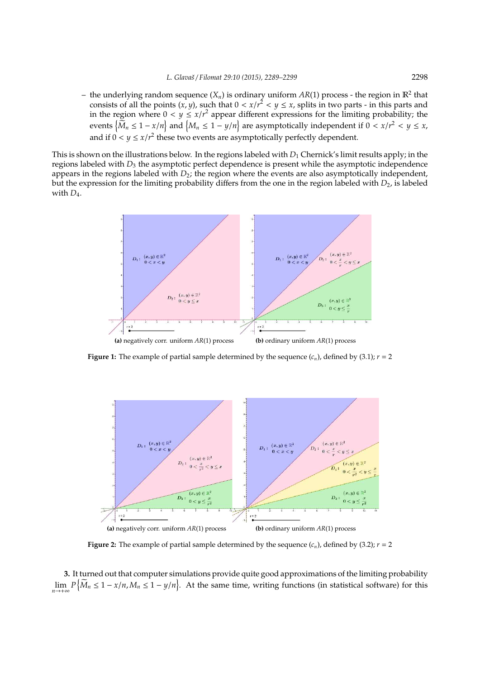- the underlying random sequence  $(X_n)$  is ordinary uniform  $AR(1)$  process - the region in  $\mathbb{R}^2$  that consists of all the points  $(x, y)$ , such that  $0 < x/r^2 < y \le x$ , splits in two parts - in this parts and in the region where  $0 < y \leq x/r^2$  appear different expressions for the limiting probability; the events  $\left\{\widetilde{M}_n \leq 1 - x/n\right\}$  and  $\left\{M_n \leq 1 - y/n\right\}$  are asymptotically independent if  $0 < x/r^2 < y \leq x$ , and if  $0 < y \le x/r^2$  these two events are asymptotically perfectly dependent.

This is shown on the illustrations below. In the regions labeled with *D*<sub>1</sub> Chernick's limit results apply; in the regions labeled with *D*<sup>3</sup> the asymptotic perfect dependence is present while the asymptotic independence appears in the regions labeled with  $D_2$ ; the region where the events are also asymptotically independent, but the expression for the limiting probability differs from the one in the region labeled with *D*<sub>2</sub>, is labeled with  $D_4$ .



**Figure 1:** The example of partial sample determined by the sequence  $(c_n)$ , defined by (3.1);  $r = 2$ 



**Figure 2:** The example of partial sample determined by the sequence  $(c_n)$ , defined by (3.2);  $r = 2$ 

**3.** It turned out that computer simulations provide quite good approximations of the limiting probability  $\lim_{n \to +\infty} P\left\{\widetilde{M}_n \leq 1 - x/n, M_n \leq 1 - y/n\right\}$ . At the same time, writing functions (in statistical software) for this